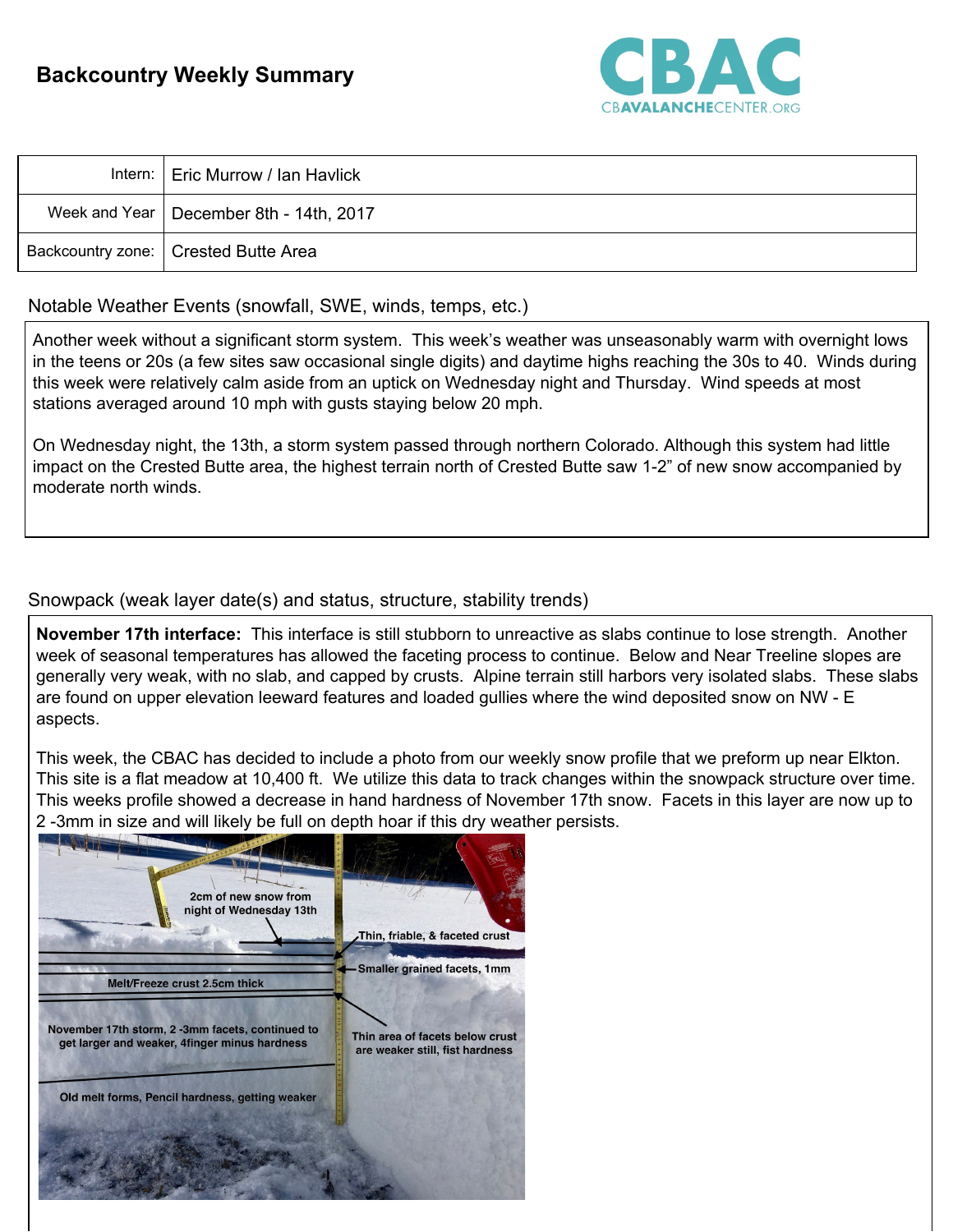## **Backcountry Weekly Summary**



| Intern:   Eric Murrow / Ian Havlick       |
|-------------------------------------------|
| Week and Year   December 8th - 14th, 2017 |
| Backcountry zone:   Crested Butte Area    |

## Notable Weather Events (snowfall, SWE, winds, temps, etc.)

Another week without a significant storm system. This week's weather was unseasonably warm with overnight lows in the teens or 20s (a few sites saw occasional single digits) and daytime highs reaching the 30s to 40. Winds during this week were relatively calm aside from an uptick on Wednesday night and Thursday. Wind speeds at most stations averaged around 10 mph with gusts staying below 20 mph.

On Wednesday night, the 13th, a storm system passed through northern Colorado. Although this system had little impact on the Crested Butte area, the highest terrain north of Crested Butte saw 1-2" of new snow accompanied by moderate north winds.

## Snowpack (weak layer date(s) and status, structure, stability trends)

**November 17th interface:** This interface is still stubborn to unreactive as slabs continue to lose strength. Another week of seasonal temperatures has allowed the faceting process to continue. Below and Near Treeline slopes are generally very weak, with no slab, and capped by crusts. Alpine terrain still harbors very isolated slabs. These slabs are found on upper elevation leeward features and loaded gullies where the wind deposited snow on NW - E aspects.

This week, the CBAC has decided to include a photo from our weekly snow profile that we preform up near Elkton. This site is a flat meadow at 10,400 ft. We utilize this data to track changes within the snowpack structure over time. This weeks profile showed a decrease in hand hardness of November 17th snow. Facets in this layer are now up to 2 -3mm in size and will likely be full on depth hoar if this dry weather persists.